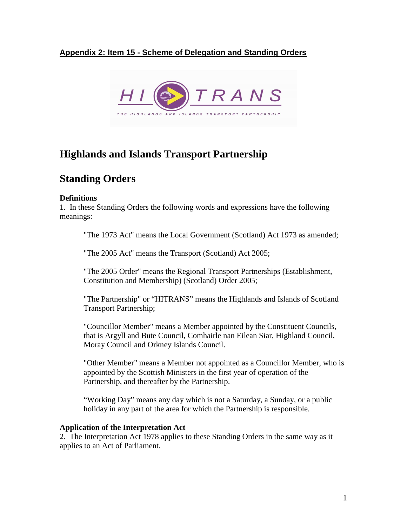# **Appendix 2: Item 15 - Scheme of Delegation and Standing Orders**



# **Highlands and Islands Transport Partnership**

# **Standing Orders**

# **Definitions**

1. In these Standing Orders the following words and expressions have the following meanings:

"The 1973 Act" means the Local Government (Scotland) Act 1973 as amended;

"The 2005 Act" means the Transport (Scotland) Act 2005;

 "The 2005 Order" means the Regional Transport Partnerships (Establishment, Constitution and Membership) (Scotland) Order 2005;

 "The Partnership" or "HITRANS" means the Highlands and Islands of Scotland Transport Partnership;

 "Councillor Member" means a Member appointed by the Constituent Councils, that is Argyll and Bute Council, Comhairle nan Eilean Siar, Highland Council, Moray Council and Orkney Islands Council.

 "Other Member" means a Member not appointed as a Councillor Member, who is appointed by the Scottish Ministers in the first year of operation of the Partnership, and thereafter by the Partnership.

 "Working Day" means any day which is not a Saturday, a Sunday, or a public holiday in any part of the area for which the Partnership is responsible.

### **Application of the Interpretation Act**

2. The Interpretation Act 1978 applies to these Standing Orders in the same way as it applies to an Act of Parliament.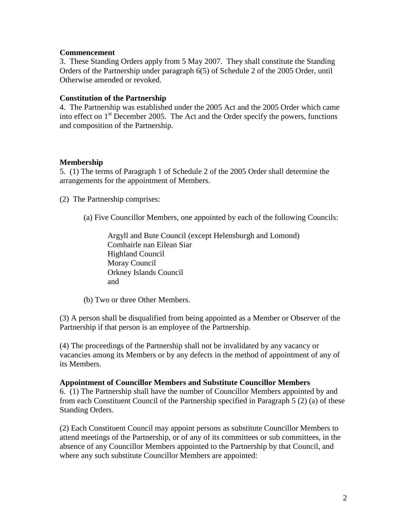### **Commencement**

3. These Standing Orders apply from 5 May 2007. They shall constitute the Standing Orders of the Partnership under paragraph 6(5) of Schedule 2 of the 2005 Order, until Otherwise amended or revoked.

#### **Constitution of the Partnership**

4. The Partnership was established under the 2005 Act and the 2005 Order which came into effect on  $1<sup>st</sup>$  December 2005. The Act and the Order specify the powers, functions and composition of the Partnership.

### **Membership**

5. (1) The terms of Paragraph 1 of Schedule 2 of the 2005 Order shall determine the arrangements for the appointment of Members.

(2) The Partnership comprises:

(a) Five Councillor Members, one appointed by each of the following Councils:

Argyll and Bute Council (except Helensburgh and Lomond) Comhairle nan Eilean Siar Highland Council Moray Council Orkney Islands Council and

(b) Two or three Other Members.

(3) A person shall be disqualified from being appointed as a Member or Observer of the Partnership if that person is an employee of the Partnership.

(4) The proceedings of the Partnership shall not be invalidated by any vacancy or vacancies among its Members or by any defects in the method of appointment of any of its Members.

### **Appointment of Councillor Members and Substitute Councillor Members**

6. (1) The Partnership shall have the number of Councillor Members appointed by and from each Constituent Council of the Partnership specified in Paragraph 5 (2) (a) of these Standing Orders.

(2) Each Constituent Council may appoint persons as substitute Councillor Members to attend meetings of the Partnership, or of any of its committees or sub committees, in the absence of any Councillor Members appointed to the Partnership by that Council, and where any such substitute Councillor Members are appointed: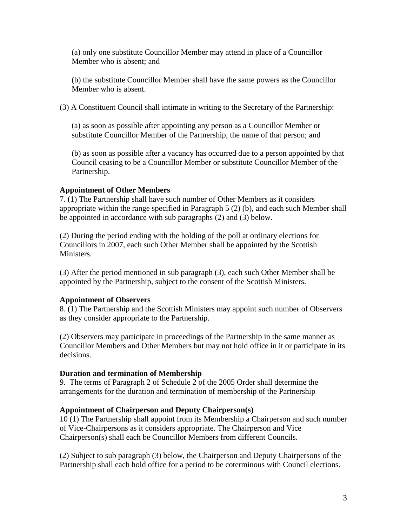(a) only one substitute Councillor Member may attend in place of a Councillor Member who is absent; and

(b) the substitute Councillor Member shall have the same powers as the Councillor Member who is absent.

(3) A Constituent Council shall intimate in writing to the Secretary of the Partnership:

(a) as soon as possible after appointing any person as a Councillor Member or substitute Councillor Member of the Partnership, the name of that person; and

(b) as soon as possible after a vacancy has occurred due to a person appointed by that Council ceasing to be a Councillor Member or substitute Councillor Member of the Partnership.

# **Appointment of Other Members**

7. (1) The Partnership shall have such number of Other Members as it considers appropriate within the range specified in Paragraph 5 (2) (b), and each such Member shall be appointed in accordance with sub paragraphs (2) and (3) below.

(2) During the period ending with the holding of the poll at ordinary elections for Councillors in 2007, each such Other Member shall be appointed by the Scottish Ministers.

(3) After the period mentioned in sub paragraph (3), each such Other Member shall be appointed by the Partnership, subject to the consent of the Scottish Ministers.

### **Appointment of Observers**

8. (1) The Partnership and the Scottish Ministers may appoint such number of Observers as they consider appropriate to the Partnership.

(2) Observers may participate in proceedings of the Partnership in the same manner as Councillor Members and Other Members but may not hold office in it or participate in its decisions.

### **Duration and termination of Membership**

9. The terms of Paragraph 2 of Schedule 2 of the 2005 Order shall determine the arrangements for the duration and termination of membership of the Partnership

### **Appointment of Chairperson and Deputy Chairperson(s)**

10 (1) The Partnership shall appoint from its Membership a Chairperson and such number of Vice-Chairpersons as it considers appropriate. The Chairperson and Vice Chairperson(s) shall each be Councillor Members from different Councils.

(2) Subject to sub paragraph (3) below, the Chairperson and Deputy Chairpersons of the Partnership shall each hold office for a period to be coterminous with Council elections.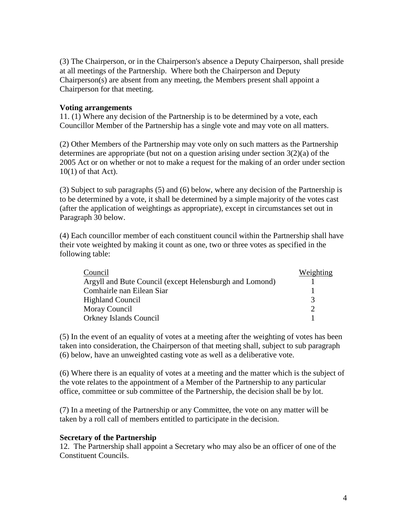(3) The Chairperson, or in the Chairperson's absence a Deputy Chairperson, shall preside at all meetings of the Partnership. Where both the Chairperson and Deputy Chairperson(s) are absent from any meeting, the Members present shall appoint a Chairperson for that meeting.

# **Voting arrangements**

11. (1) Where any decision of the Partnership is to be determined by a vote, each Councillor Member of the Partnership has a single vote and may vote on all matters.

(2) Other Members of the Partnership may vote only on such matters as the Partnership determines are appropriate (but not on a question arising under section 3(2)(a) of the 2005 Act or on whether or not to make a request for the making of an order under section 10(1) of that Act).

(3) Subject to sub paragraphs (5) and (6) below, where any decision of the Partnership is to be determined by a vote, it shall be determined by a simple majority of the votes cast (after the application of weightings as appropriate), except in circumstances set out in Paragraph 30 below.

(4) Each councillor member of each constituent council within the Partnership shall have their vote weighted by making it count as one, two or three votes as specified in the following table:

| Council                                                 | Weighting |
|---------------------------------------------------------|-----------|
| Argyll and Bute Council (except Helensburgh and Lomond) |           |
| Comhairle nan Eilean Siar                               |           |
| <b>Highland Council</b>                                 | 3         |
| Moray Council                                           |           |
| Orkney Islands Council                                  |           |

(5) In the event of an equality of votes at a meeting after the weighting of votes has been taken into consideration, the Chairperson of that meeting shall, subject to sub paragraph (6) below, have an unweighted casting vote as well as a deliberative vote.

(6) Where there is an equality of votes at a meeting and the matter which is the subject of the vote relates to the appointment of a Member of the Partnership to any particular office, committee or sub committee of the Partnership, the decision shall be by lot.

(7) In a meeting of the Partnership or any Committee, the vote on any matter will be taken by a roll call of members entitled to participate in the decision.

#### **Secretary of the Partnership**

12. The Partnership shall appoint a Secretary who may also be an officer of one of the Constituent Councils.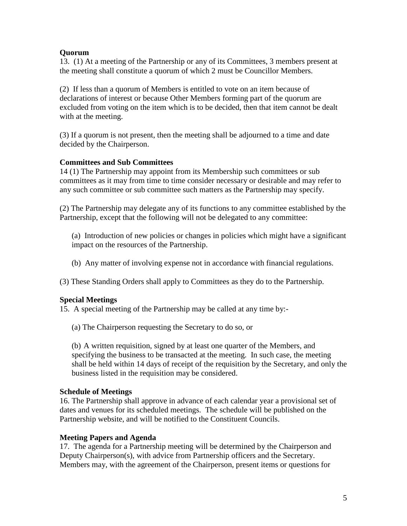# **Quorum**

13. (1) At a meeting of the Partnership or any of its Committees, 3 members present at the meeting shall constitute a quorum of which 2 must be Councillor Members.

(2) If less than a quorum of Members is entitled to vote on an item because of declarations of interest or because Other Members forming part of the quorum are excluded from voting on the item which is to be decided, then that item cannot be dealt with at the meeting.

(3) If a quorum is not present, then the meeting shall be adjourned to a time and date decided by the Chairperson.

# **Committees and Sub Committees**

14 (1) The Partnership may appoint from its Membership such committees or sub committees as it may from time to time consider necessary or desirable and may refer to any such committee or sub committee such matters as the Partnership may specify.

(2) The Partnership may delegate any of its functions to any committee established by the Partnership, except that the following will not be delegated to any committee:

(a) Introduction of new policies or changes in policies which might have a significant impact on the resources of the Partnership.

(b) Any matter of involving expense not in accordance with financial regulations.

(3) These Standing Orders shall apply to Committees as they do to the Partnership.

### **Special Meetings**

15. A special meeting of the Partnership may be called at any time by:-

(a) The Chairperson requesting the Secretary to do so, or

(b) A written requisition, signed by at least one quarter of the Members, and specifying the business to be transacted at the meeting. In such case, the meeting shall be held within 14 days of receipt of the requisition by the Secretary, and only the business listed in the requisition may be considered.

### **Schedule of Meetings**

16. The Partnership shall approve in advance of each calendar year a provisional set of dates and venues for its scheduled meetings. The schedule will be published on the Partnership website, and will be notified to the Constituent Councils.

### **Meeting Papers and Agenda**

17. The agenda for a Partnership meeting will be determined by the Chairperson and Deputy Chairperson(s), with advice from Partnership officers and the Secretary. Members may, with the agreement of the Chairperson, present items or questions for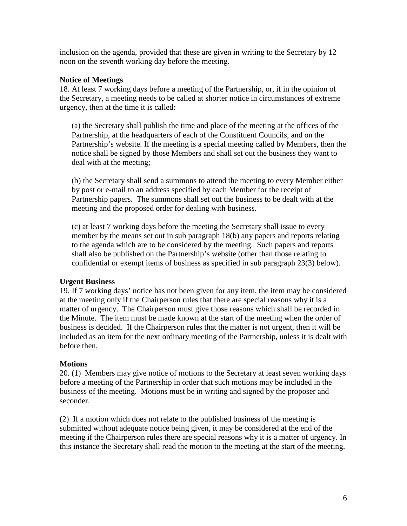inclusion on the agenda, provided that these are given in writing to the Secretary by 12 noon on the seventh working day before the meeting.

# **Notice of Meetings**

18. At least 7 working days before a meeting of the Partnership, or, if in the opinion of the Secretary, a meeting needs to be called at shorter notice in circumstances of extreme urgency, then at the time it is called:

(a) the Secretary shall publish the time and place of the meeting at the offices of the Partnership, at the headquarters of each of the Constituent Councils, and on the Partnership's website. If the meeting is a special meeting called by Members, then the notice shall be signed by those Members and shall set out the business they want to deal with at the meeting;

(b) the Secretary shall send a summons to attend the meeting to every Member either by post or e-mail to an address specified by each Member for the receipt of Partnership papers. The summons shall set out the business to be dealt with at the meeting and the proposed order for dealing with business.

(c) at least 7 working days before the meeting the Secretary shall issue to every member by the means set out in sub paragraph 18(b) any papers and reports relating to the agenda which are to be considered by the meeting. Such papers and reports shall also be published on the Partnership's website (other than those relating to confidential or exempt items of business as specified in sub paragraph 23(3) below).

### **Urgent Business**

19. If 7 working days' notice has not been given for any item, the item may be considered at the meeting only if the Chairperson rules that there are special reasons why it is a matter of urgency. The Chairperson must give those reasons which shall be recorded in the Minute. The item must be made known at the start of the meeting when the order of business is decided. If the Chairperson rules that the matter is not urgent, then it will be included as an item for the next ordinary meeting of the Partnership, unless it is dealt with before then.

### **Motions**

20. (1) Members may give notice of motions to the Secretary at least seven working days before a meeting of the Partnership in order that such motions may be included in the business of the meeting. Motions must be in writing and signed by the proposer and seconder.

(2) If a motion which does not relate to the published business of the meeting is submitted without adequate notice being given, it may be considered at the end of the meeting if the Chairperson rules there are special reasons why it is a matter of urgency. In this instance the Secretary shall read the motion to the meeting at the start of the meeting.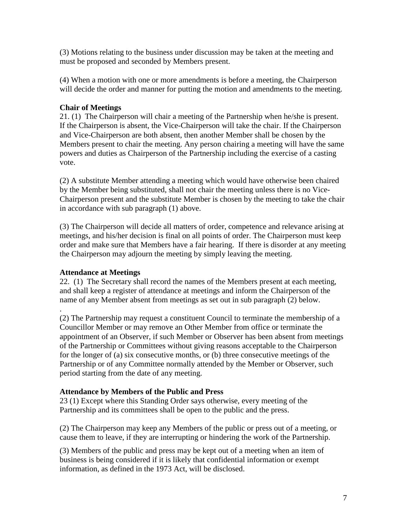(3) Motions relating to the business under discussion may be taken at the meeting and must be proposed and seconded by Members present.

(4) When a motion with one or more amendments is before a meeting, the Chairperson will decide the order and manner for putting the motion and amendments to the meeting.

# **Chair of Meetings**

21. (1) The Chairperson will chair a meeting of the Partnership when he/she is present. If the Chairperson is absent, the Vice-Chairperson will take the chair. If the Chairperson and Vice-Chairperson are both absent, then another Member shall be chosen by the Members present to chair the meeting. Any person chairing a meeting will have the same powers and duties as Chairperson of the Partnership including the exercise of a casting vote.

(2) A substitute Member attending a meeting which would have otherwise been chaired by the Member being substituted, shall not chair the meeting unless there is no Vice-Chairperson present and the substitute Member is chosen by the meeting to take the chair in accordance with sub paragraph (1) above.

(3) The Chairperson will decide all matters of order, competence and relevance arising at meetings, and his/her decision is final on all points of order. The Chairperson must keep order and make sure that Members have a fair hearing. If there is disorder at any meeting the Chairperson may adjourn the meeting by simply leaving the meeting.

# **Attendance at Meetings**

22. (1) The Secretary shall record the names of the Members present at each meeting, and shall keep a register of attendance at meetings and inform the Chairperson of the name of any Member absent from meetings as set out in sub paragraph (2) below.

. (2) The Partnership may request a constituent Council to terminate the membership of a Councillor Member or may remove an Other Member from office or terminate the appointment of an Observer, if such Member or Observer has been absent from meetings of the Partnership or Committees without giving reasons acceptable to the Chairperson for the longer of (a) six consecutive months, or (b) three consecutive meetings of the Partnership or of any Committee normally attended by the Member or Observer, such period starting from the date of any meeting.

# **Attendance by Members of the Public and Press**

23 (1) Except where this Standing Order says otherwise, every meeting of the Partnership and its committees shall be open to the public and the press.

(2) The Chairperson may keep any Members of the public or press out of a meeting, or cause them to leave, if they are interrupting or hindering the work of the Partnership.

(3) Members of the public and press may be kept out of a meeting when an item of business is being considered if it is likely that confidential information or exempt information, as defined in the 1973 Act, will be disclosed.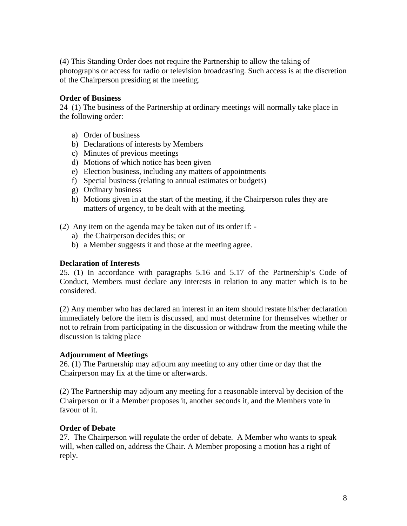(4) This Standing Order does not require the Partnership to allow the taking of photographs or access for radio or television broadcasting. Such access is at the discretion of the Chairperson presiding at the meeting.

# **Order of Business**

24 (1) The business of the Partnership at ordinary meetings will normally take place in the following order:

- a) Order of business
- b) Declarations of interests by Members
- c) Minutes of previous meetings
- d) Motions of which notice has been given
- e) Election business, including any matters of appointments
- f) Special business (relating to annual estimates or budgets)
- g) Ordinary business
- h) Motions given in at the start of the meeting, if the Chairperson rules they are matters of urgency, to be dealt with at the meeting.
- (2) Any item on the agenda may be taken out of its order if:
	- a) the Chairperson decides this; or
	- b) a Member suggests it and those at the meeting agree.

#### **Declaration of Interests**

25. (1) In accordance with paragraphs 5.16 and 5.17 of the Partnership's Code of Conduct, Members must declare any interests in relation to any matter which is to be considered.

(2) Any member who has declared an interest in an item should restate his/her declaration immediately before the item is discussed, and must determine for themselves whether or not to refrain from participating in the discussion or withdraw from the meeting while the discussion is taking place

### **Adjournment of Meetings**

26. (1) The Partnership may adjourn any meeting to any other time or day that the Chairperson may fix at the time or afterwards.

(2) The Partnership may adjourn any meeting for a reasonable interval by decision of the Chairperson or if a Member proposes it, another seconds it, and the Members vote in favour of it.

### **Order of Debate**

27. The Chairperson will regulate the order of debate. A Member who wants to speak will, when called on, address the Chair. A Member proposing a motion has a right of reply.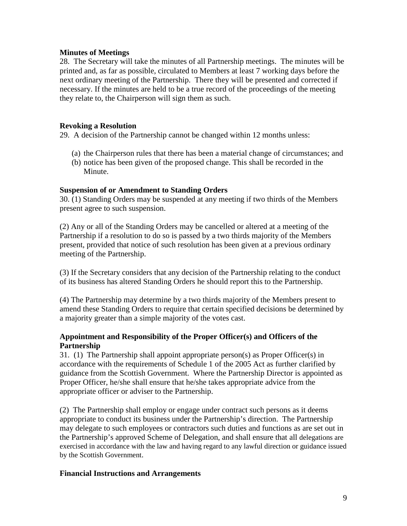# **Minutes of Meetings**

28. The Secretary will take the minutes of all Partnership meetings. The minutes will be printed and, as far as possible, circulated to Members at least 7 working days before the next ordinary meeting of the Partnership. There they will be presented and corrected if necessary. If the minutes are held to be a true record of the proceedings of the meeting they relate to, the Chairperson will sign them as such.

### **Revoking a Resolution**

29. A decision of the Partnership cannot be changed within 12 months unless:

- (a) the Chairperson rules that there has been a material change of circumstances; and
- (b) notice has been given of the proposed change. This shall be recorded in the Minute.

### **Suspension of or Amendment to Standing Orders**

30. (1) Standing Orders may be suspended at any meeting if two thirds of the Members present agree to such suspension.

(2) Any or all of the Standing Orders may be cancelled or altered at a meeting of the Partnership if a resolution to do so is passed by a two thirds majority of the Members present, provided that notice of such resolution has been given at a previous ordinary meeting of the Partnership.

(3) If the Secretary considers that any decision of the Partnership relating to the conduct of its business has altered Standing Orders he should report this to the Partnership.

(4) The Partnership may determine by a two thirds majority of the Members present to amend these Standing Orders to require that certain specified decisions be determined by a majority greater than a simple majority of the votes cast.

# **Appointment and Responsibility of the Proper Officer(s) and Officers of the Partnership**

31. (1) The Partnership shall appoint appropriate person(s) as Proper Officer(s) in accordance with the requirements of Schedule 1 of the 2005 Act as further clarified by guidance from the Scottish Government. Where the Partnership Director is appointed as Proper Officer, he/she shall ensure that he/she takes appropriate advice from the appropriate officer or adviser to the Partnership.

(2) The Partnership shall employ or engage under contract such persons as it deems appropriate to conduct its business under the Partnership's direction. The Partnership may delegate to such employees or contractors such duties and functions as are set out in the Partnership's approved Scheme of Delegation, and shall ensure that all delegations are exercised in accordance with the law and having regard to any lawful direction or guidance issued by the Scottish Government.

### **Financial Instructions and Arrangements**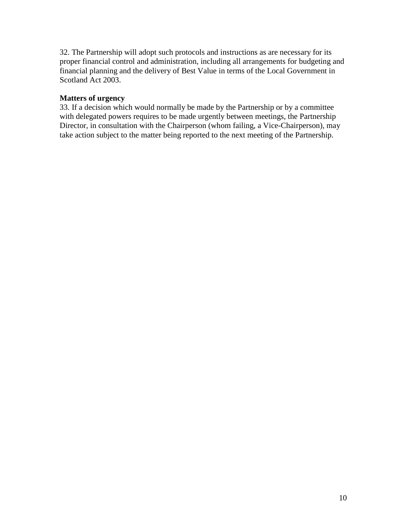32. The Partnership will adopt such protocols and instructions as are necessary for its proper financial control and administration, including all arrangements for budgeting and financial planning and the delivery of Best Value in terms of the Local Government in Scotland Act 2003.

# **Matters of urgency**

33. If a decision which would normally be made by the Partnership or by a committee with delegated powers requires to be made urgently between meetings, the Partnership Director, in consultation with the Chairperson (whom failing, a Vice-Chairperson), may take action subject to the matter being reported to the next meeting of the Partnership.